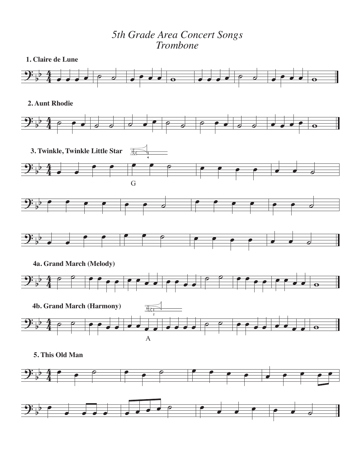## *5th Grade Area Concert Songs Trombone*